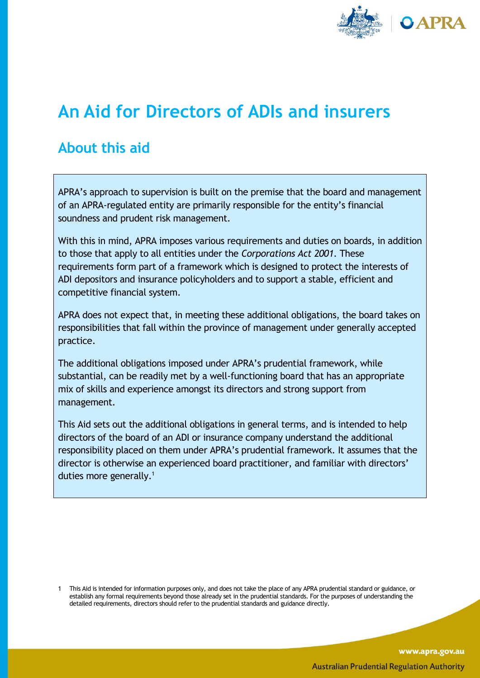

# **An Aid for Directors of ADIs and insurers**

# **About this aid**

APRA's approach to supervision is built on the premise that the board and management of an APRA-regulated entity are primarily responsible for the entity's financial soundness and prudent risk management.

With this in mind, APRA imposes various requirements and duties on boards, in addition to those that apply to all entities under the *Corporations Act 2001*. These requirements form part of a framework which is designed to protect the interests of ADI depositors and insurance policyholders and to support a stable, efficient and competitive financial system.

APRA does not expect that, in meeting these additional obligations, the board takes on responsibilities that fall within the province of management under generally accepted practice.

The additional obligations imposed under APRA's prudential framework, while substantial, can be readily met by a well-functioning board that has an appropriate mix of skills and experience amongst its directors and strong support from management.

This Aid sets out the additional obligations in general terms, and is intended to help directors of the board of an ADI or insurance company understand the additional responsibility placed on them under APRA's prudential framework. It assumes that the director is otherwise an experienced board practitioner, and familiar with directors' duties more generally. $1$ 

<sup>1</sup> This Aid is intended for information purposes only, and does not take the place of any APRA prudential standard or guidance, or establish any formal requirements beyond those already set in the prudential standards. For the purposes of understanding the detailed requirements, directors should refer to the prudential standards and guidance directly.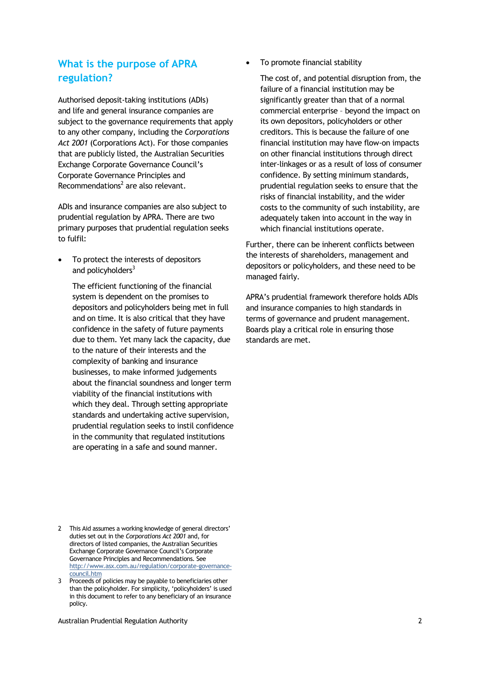#### **What is the purpose of APRA regulation?**

Authorised deposit-taking institutions (ADIs) and life and general insurance companies are subject to the governance requirements that apply to any other company, including the *Corporations Act 2001* (Corporations Act). For those companies that are publicly listed, the Australian Securities Exchange Corporate Governance Council's Corporate Governance Principles and Recommendations $2$  are also relevant.

ADIs and insurance companies are also subject to prudential regulation by APRA. There are two primary purposes that prudential regulation seeks to fulfil:

 To protect the interests of depositors and policyholders $3$ 

The efficient functioning of the financial system is dependent on the promises to depositors and policyholders being met in full and on time. It is also critical that they have confidence in the safety of future payments due to them. Yet many lack the capacity, due to the nature of their interests and the complexity of banking and insurance businesses, to make informed judgements about the financial soundness and longer term viability of the financial institutions with which they deal. Through setting appropriate standards and undertaking active supervision, prudential regulation seeks to instil confidence in the community that regulated institutions are operating in a safe and sound manner.

- 2 This Aid assumes a working knowledge of general directors' duties set out in the *Corporations Act 2001* and, for directors of listed companies, the Australian Securities Exchange Corporate Governance Council's Corporate Governance Principles and Recommendations. See [http://www.asx.com.au/regulation/corporate-governance](http://www.asx.com.au/regulation/corporate-governance-council.htm)[council.htm](http://www.asx.com.au/regulation/corporate-governance-council.htm)
- 3 Proceeds of policies may be payable to beneficiaries other than the policyholder. For simplicity, 'policyholders' is used in this document to refer to any beneficiary of an insurance policy.

To promote financial stability

The cost of, and potential disruption from, the failure of a financial institution may be significantly greater than that of a normal commercial enterprise – beyond the impact on its own depositors, policyholders or other creditors. This is because the failure of one financial institution may have flow-on impacts on other financial institutions through direct inter-linkages or as a result of loss of consumer confidence. By setting minimum standards, prudential regulation seeks to ensure that the risks of financial instability, and the wider costs to the community of such instability, are adequately taken into account in the way in which financial institutions operate.

Further, there can be inherent conflicts between the interests of shareholders, management and depositors or policyholders, and these need to be managed fairly.

APRA's prudential framework therefore holds ADIs and insurance companies to high standards in terms of governance and prudent management. Boards play a critical role in ensuring those standards are met.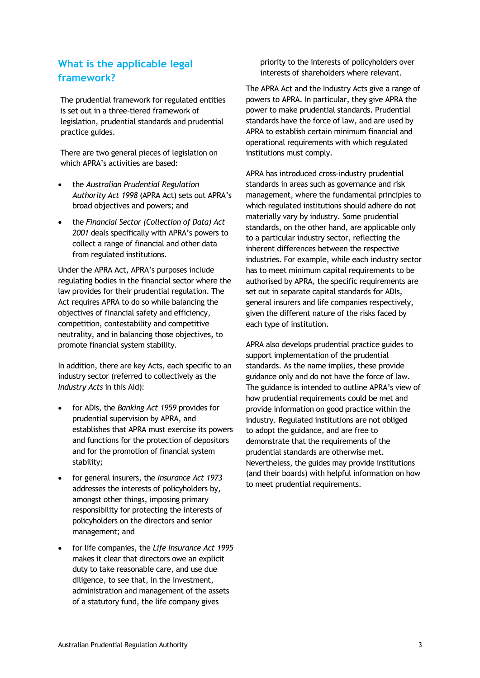### **What is the applicable legal framework?**

The prudential framework for regulated entities is set out in a three-tiered framework of legislation, prudential standards and prudential practice guides.

There are two general pieces of legislation on which APRA's activities are based:

- the *Australian Prudential Regulation Authority Act 1998* (APRA Act) sets out APRA's broad objectives and powers; and
- the *Financial Sector (Collection of Data) Act 2001* deals specifically with APRA's powers to collect a range of financial and other data from regulated institutions.

Under the APRA Act, APRA's purposes include regulating bodies in the financial sector where the law provides for their prudential regulation. The Act requires APRA to do so while balancing the objectives of financial safety and efficiency, competition, contestability and competitive neutrality, and in balancing those objectives, to promote financial system stability.

In addition, there are key Acts, each specific to an industry sector (referred to collectively as the *Industry Acts* in this Aid):

- for ADIs, the *Banking Act 1959* provides for prudential supervision by APRA, and establishes that APRA must exercise its powers and functions for the protection of depositors and for the promotion of financial system stability*;*
- for general insurers, the *Insurance Act 1973* addresses the interests of policyholders by, amongst other things, imposing primary responsibility for protecting the interests of policyholders on th[e directors](http://www.austlii.edu.au/cgi-bin/sinodisp/au/legis/cth/consol_act/ia1973116/s3.html#director) and senior management; and
- for life companies, the *Life Insurance Act 1995* makes it clear that directors owe an explicit duty to take reasonable care, and use due diligence, to see that, in the investment, administration and management of the assets of a statutory fund, the life company gives

priority to the interests of policyholders over interests of shareholders where relevant.

The APRA Act and the Industry Acts give a range of powers to APRA. In particular, they give APRA the power to make prudential standards. Prudential standards have the force of law, and are used by APRA to establish certain minimum financial and operational requirements with which regulated institutions must comply.

APRA has introduced cross-industry prudential standards in areas such as governance and risk management, where the fundamental principles to which regulated institutions should adhere do not materially vary by industry. Some prudential standards, on the other hand, are applicable only to a particular industry sector, reflecting the inherent differences between the respective industries. For example, while each industry sector has to meet minimum capital requirements to be authorised by APRA, the specific requirements are set out in separate capital standards for ADIs, general insurers and life companies respectively, given the different nature of the risks faced by each type of institution.

APRA also develops prudential practice guides to support implementation of the prudential standards. As the name implies, these provide guidance only and do not have the force of law. The guidance is intended to outline APRA's view of how prudential requirements could be met and provide information on good practice within the industry. Regulated institutions are not obliged to adopt the guidance, and are free to demonstrate that the requirements of the prudential standards are otherwise met. Nevertheless, the guides may provide institutions (and their boards) with helpful information on how to meet prudential requirements.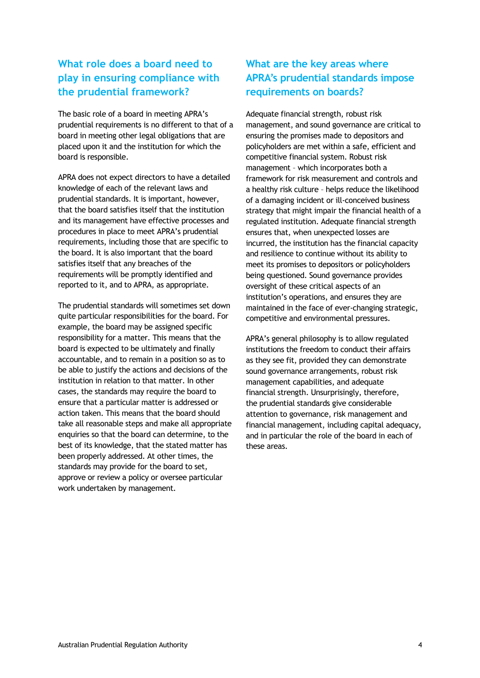## **What role does a board need to play in ensuring compliance with the prudential framework?**

The basic role of a board in meeting APRA's prudential requirements is no different to that of a board in meeting other legal obligations that are placed upon it and the institution for which the board is responsible.

APRA does not expect directors to have a detailed knowledge of each of the relevant laws and prudential standards. It is important, however, that the board satisfies itself that the institution and its management have effective processes and procedures in place to meet APRA's prudential requirements, including those that are specific to the board. It is also important that the board satisfies itself that any breaches of the requirements will be promptly identified and reported to it, and to APRA, as appropriate.

The prudential standards will sometimes set down quite particular responsibilities for the board. For example, the board may be assigned specific responsibility for a matter. This means that the board is expected to be ultimately and finally accountable, and to remain in a position so as to be able to justify the actions and decisions of the institution in relation to that matter. In other cases, the standards may require the board to ensure that a particular matter is addressed or action taken. This means that the board should take all reasonable steps and make all appropriate enquiries so that the board can determine, to the best of its knowledge, that the stated matter has been properly addressed. At other times, the standards may provide for the board to set, approve or review a policy or oversee particular work undertaken by management.

# **What are the key areas where APRA's prudential standards impose requirements on boards?**

Adequate financial strength, robust risk management, and sound governance are critical to ensuring the promises made to depositors and policyholders are met within a safe, efficient and competitive financial system. Robust risk management – which incorporates both a framework for risk measurement and controls and a healthy risk culture – helps reduce the likelihood of a damaging incident or ill-conceived business strategy that might impair the financial health of a regulated institution. Adequate financial strength ensures that, when unexpected losses are incurred, the institution has the financial capacity and resilience to continue without its ability to meet its promises to depositors or policyholders being questioned. Sound governance provides oversight of these critical aspects of an institution's operations, and ensures they are maintained in the face of ever-changing strategic, competitive and environmental pressures.

APRA's general philosophy is to allow regulated institutions the freedom to conduct their affairs as they see fit, provided they can demonstrate sound governance arrangements, robust risk management capabilities, and adequate financial strength. Unsurprisingly, therefore, the prudential standards give considerable attention to governance, risk management and financial management, including capital adequacy, and in particular the role of the board in each of these areas.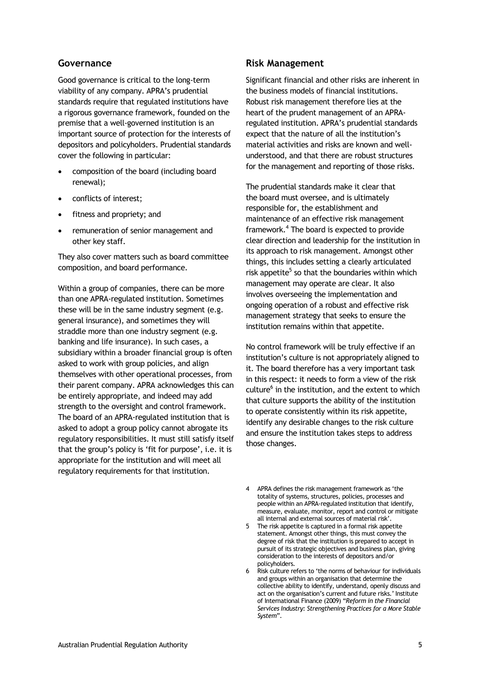#### **Governance**

Good governance is critical to the long-term viability of any company. APRA's prudential standards require that regulated institutions have a rigorous governance framework, founded on the premise that a well-governed institution is an important source of protection for the interests of depositors and policyholders. Prudential standards cover the following in particular:

- composition of the board (including board renewal);
- conflicts of interest;
- fitness and propriety; and
- remuneration of senior management and other key staff.

They also cover matters such as board committee composition, and board performance.

Within a group of companies, there can be more than one APRA-regulated institution. Sometimes these will be in the same industry segment (e.g. general insurance), and sometimes they will straddle more than one industry segment (e.g. banking and life insurance). In such cases, a subsidiary within a broader financial group is often asked to work with group policies, and align themselves with other operational processes, from their parent company. APRA acknowledges this can be entirely appropriate, and indeed may add strength to the oversight and control framework. The board of an APRA-regulated institution that is asked to adopt a group policy cannot abrogate its regulatory responsibilities. It must still satisfy itself that the group's policy is 'fit for purpose', i.e. it is appropriate for the institution and will meet all regulatory requirements for that institution.

#### **Risk Management**

Significant financial and other risks are inherent in the business models of financial institutions. Robust risk management therefore lies at the heart of the prudent management of an APRAregulated institution. APRA's prudential standards expect that the nature of all the institution's material activities and risks are known and wellunderstood, and that there are robust structures for the management and reporting of those risks.

The prudential standards make it clear that the board must oversee, and is ultimately responsible for, the establishment and maintenance of an effective risk management framework.<sup>4</sup> The board is expected to provide clear direction and leadership for the institution in its approach to risk management. Amongst other things, this includes setting a clearly articulated risk appetite<sup>5</sup> so that the boundaries within which management may operate are clear. It also involves overseeing the implementation and ongoing operation of a robust and effective risk management strategy that seeks to ensure the institution remains within that appetite.

No control framework will be truly effective if an institution's culture is not appropriately aligned to it. The board therefore has a very important task in this respect: it needs to form a view of the risk culture<sup>6</sup> in the institution, and the extent to which that culture supports the ability of the institution to operate consistently within its risk appetite, identify any desirable changes to the risk culture and ensure the institution takes steps to address those changes.

- 4 APRA defines the risk management framework as 'the totality of systems, structures, policies, processes and people within an APRA-regulated institution that identify, measure, evaluate, monitor, report and control or mitigate all internal and external sources of material risk'.
- 5 The risk appetite is captured in a formal risk appetite statement. Amongst other things, this must convey the degree of risk that the institution is prepared to accept in pursuit of its strategic objectives and business plan, giving consideration to the interests of depositors and/or policyholders.
- 6 Risk culture refers to 'the norms of behaviour for individuals and groups within an organisation that determine the collective ability to identify, understand, openly discuss and act on the organisation's current and future risks.' Institute of International Finance (2009) "*Reform in the Financial Services Industry: Strengthening Practices for a More Stable System*".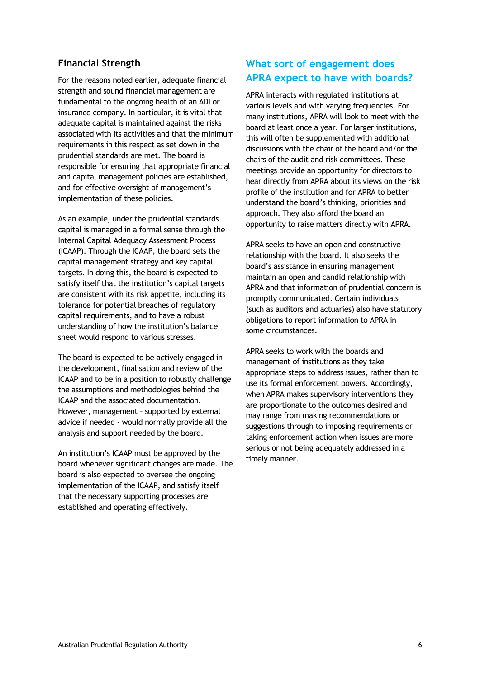#### **Financial Strength**

For the reasons noted earlier, adequate financial strength and sound financial management are fundamental to the ongoing health of an ADI or insurance company. In particular, it is vital that adequate capital is maintained against the risks associated with its activities and that the minimum requirements in this respect as set down in the prudential standards are met. The board is responsible for ensuring that appropriate financial and capital management policies are established, and for effective oversight of management's implementation of these policies.

As an example, under the prudential standards capital is managed in a formal sense through the Internal Capital Adequacy Assessment Process (ICAAP). Through the ICAAP, the board sets the capital management strategy and key capital targets. In doing this, the board is expected to satisfy itself that the institution's capital targets are consistent with its risk appetite, including its tolerance for potential breaches of regulatory capital requirements, and to have a robust understanding of how the institution's balance sheet would respond to various stresses.

The board is expected to be actively engaged in the development, finalisation and review of the ICAAP and to be in a position to robustly challenge the assumptions and methodologies behind the ICAAP and the associated documentation. However, management – supported by external advice if needed - would normally provide all the analysis and support needed by the board.

An institution's ICAAP must be approved by the board whenever significant changes are made. The board is also expected to oversee the ongoing implementation of the ICAAP, and satisfy itself that the necessary supporting processes are established and operating effectively.

#### **What sort of engagement does APRA expect to have with boards?**

APRA interacts with regulated institutions at various levels and with varying frequencies. For many institutions, APRA will look to meet with the board at least once a year. For larger institutions, this will often be supplemented with additional discussions with the chair of the board and/or the chairs of the audit and risk committees. These meetings provide an opportunity for directors to hear directly from APRA about its views on the risk profile of the institution and for APRA to better understand the board's thinking, priorities and approach. They also afford the board an opportunity to raise matters directly with APRA.

APRA seeks to have an open and constructive relationship with the board. It also seeks the board's assistance in ensuring management maintain an open and candid relationship with APRA and that information of prudential concern is promptly communicated. Certain individuals (such as auditors and actuaries) also have statutory obligations to report information to APRA in some circumstances.

APRA seeks to work with the boards and management of institutions as they take appropriate steps to address issues, rather than to use its formal enforcement powers. Accordingly, when APRA makes supervisory interventions they are proportionate to the outcomes desired and may range from making recommendations or suggestions through to imposing requirements or taking enforcement action when issues are more serious or not being adequately addressed in a timely manner.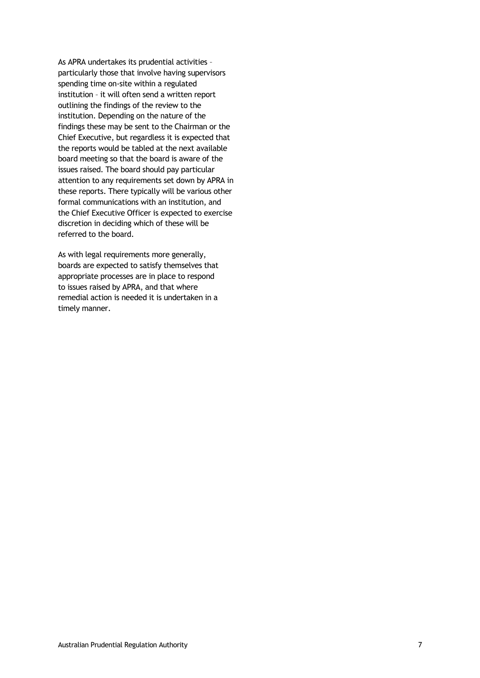As APRA undertakes its prudential activities – particularly those that involve having supervisors spending time on-site within a regulated institution – it will often send a written report outlining the findings of the review to the institution. Depending on the nature of the findings these may be sent to the Chairman or the Chief Executive, but regardless it is expected that the reports would be tabled at the next available board meeting so that the board is aware of the issues raised. The board should pay particular attention to any requirements set down by APRA in these reports. There typically will be various other formal communications with an institution, and the Chief Executive Officer is expected to exercise discretion in deciding which of these will be referred to the board.

As with legal requirements more generally, boards are expected to satisfy themselves that appropriate processes are in place to respond to issues raised by APRA, and that where remedial action is needed it is undertaken in a timely manner.